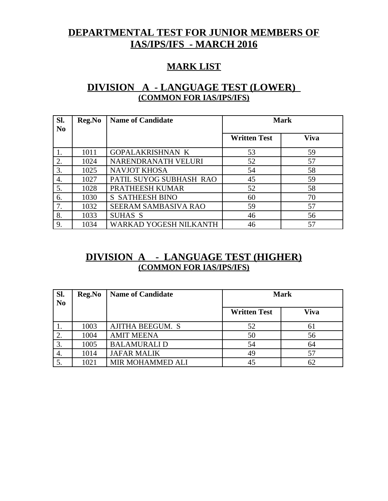# **DEPARTMENTAL TEST FOR JUNIOR MEMBERS OF IAS/IPS/IFS - MARCH 2016**

### **MARK LIST**

## **DIVISION A - LANGUAGE TEST (LOWER) (COMMON FOR IAS/IPS/IFS)**

| SI.<br>N <sub>0</sub> | Reg.No | <b>Name of Candidate</b>    | <b>Mark</b>         |             |
|-----------------------|--------|-----------------------------|---------------------|-------------|
|                       |        |                             | <b>Written Test</b> | <b>Viva</b> |
|                       | 1011   | <b>GOPALAKRISHNAN K</b>     | 53                  | 59          |
| 2.                    | 1024   | NARENDRANATH VELURI         | 52                  | 57          |
| 3.                    | 1025   | <b>NAVJOT KHOSA</b>         | 54                  | 58          |
| 4.                    | 1027   | PATIL SUYOG SUBHASH RAO     | 45                  | 59          |
| 5.                    | 1028   | PRATHEESH KUMAR             | 52                  | 58          |
| 6.                    | 1030   | <b>S SATHEESH BINO</b>      | 60                  | 70          |
| 7.                    | 1032   | <b>SEERAM SAMBASIVA RAO</b> | 59                  | 57          |
| 8.                    | 1033   | <b>SUHAS S</b>              | 46                  | 56          |
| 9.                    | 1034   | WARKAD YOGESH NILKANTH      | 46                  | 57          |

## **DIVISION A - LANGUAGE TEST (HIGHER) (COMMON FOR IAS/IPS/IFS)**

| Sl.<br>N <sub>0</sub> | Reg.No | <b>Name of Candidate</b> | <b>Mark</b>         |             |
|-----------------------|--------|--------------------------|---------------------|-------------|
|                       |        |                          | <b>Written Test</b> | <b>Viva</b> |
|                       | 1003   | <b>AJITHA BEEGUM. S</b>  | 52                  | 61          |
|                       | 1004   | <b>AMIT MEENA</b>        | 50                  | 56          |
|                       | 1005   | <b>BALAMURALI D</b>      | 54                  | 64          |
| 4.                    | 1014   | <b>JAFAR MALIK</b>       | 49                  | 57          |
|                       | 1021   | MIR MOHAMMED ALI         |                     | 62          |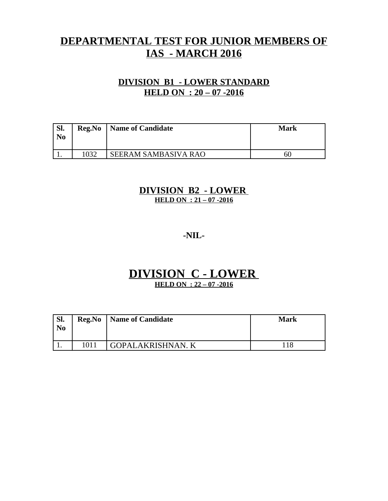# **DEPARTMENTAL TEST FOR JUNIOR MEMBERS OF IAS - MARCH 2016**

### **DIVISION B1 - LOWER STANDARD HELD ON : 20 – 07 -2016**

| Sl.<br>N <sub>0</sub> | Reg.No | Name of Candidate           | Mark |
|-----------------------|--------|-----------------------------|------|
|                       | 1032   | <b>SEERAM SAMBASIVA RAO</b> | -60  |

#### **DIVISION B2 - LOWER HELD ON : 21 – 07 -2016**

#### **-NIL-**

# **DIVISION C - LOWER**

**HELD ON : 22 – 07 -2016**

| ' Sl.<br>N <sub>0</sub> |      | <b>Reg.No</b>   Name of Candidate | <b>Mark</b> |
|-------------------------|------|-----------------------------------|-------------|
|                         | 1011 | <b>GOPALAKRISHNAN. K</b>          | 118         |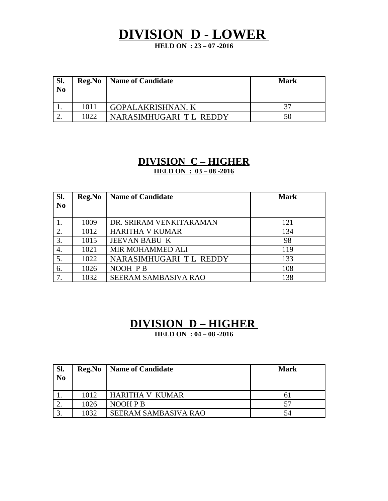# **DIVISION D - LOWER**

**HELD ON : 23 – 07 -2016**

| SI.<br>N <sub>0</sub> | Reg.No | Name of Candidate        | Mark |
|-----------------------|--------|--------------------------|------|
|                       | 1011   | <b>GOPALAKRISHNAN. K</b> | 37   |
|                       | 1022   | NARASIMHUGARI TL REDDY   | 50   |

# **DIVISION C – HIGHER**

**HELD ON : 03 – 08 -2016**

| SI.            | Reg.No | <b>Name of Candidate</b>    | <b>Mark</b> |
|----------------|--------|-----------------------------|-------------|
| N <sub>0</sub> |        |                             |             |
|                |        |                             |             |
|                | 1009   | DR. SRIRAM VENKITARAMAN     | 121         |
|                | 1012   | <b>HARITHA V KUMAR</b>      | 134         |
| 3.             | 1015   | <b>JEEVAN BABU K</b>        | 98          |
| 4.             | 1021   | MIR MOHAMMED ALI            | 119         |
| 5.             | 1022   | NARASIMHUGARI TL REDDY      | 133         |
| 6.             | 1026   | NOOH PB                     | 108         |
| 7.             | 1032   | <b>SEERAM SAMBASIVA RAO</b> | 138         |

### **DIVISION D – HIGHER HELD ON : 04 – 08 -2016**

| Sl.<br>N <sub>0</sub> | Reg.No | Name of Candidate      | <b>Mark</b> |
|-----------------------|--------|------------------------|-------------|
|                       | 1012   | <b>HARITHA V KUMAR</b> | 61          |
|                       | 1026   | NOOH P B               | 57          |
| $\sqrt{2}$            | 1032   | SEERAM SAMBASIVA RAO   | 54          |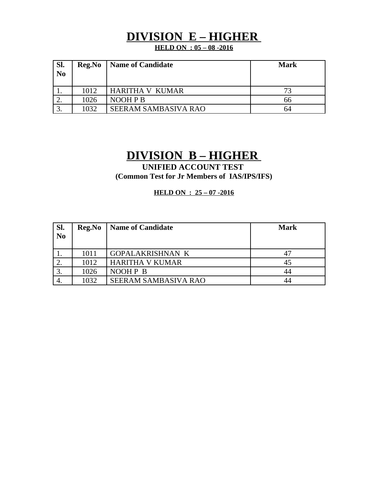# **DIVISION E – HIGHER**

**HELD ON : 05 – 08 -2016**

| Sl.<br>N <sub>0</sub> | Reg.No | <b>Name of Candidate</b>    | <b>Mark</b> |
|-----------------------|--------|-----------------------------|-------------|
|                       | 1012   | <b>HARITHA V KUMAR</b>      | 73          |
|                       | 1026   | NOOH P B                    | 66          |
|                       | 1032   | <b>SEERAM SAMBASIVA RAO</b> | 64          |

# **DIVISION B – HIGHER**

**UNIFIED ACCOUNT TEST (Common Test for Jr Members of IAS/IPS/IFS)**

**HELD ON : 25 – 07 -2016**

| SI.            | <b>Reg.No</b> | <b>Name of Candidate</b>    | <b>Mark</b> |
|----------------|---------------|-----------------------------|-------------|
| N <sub>0</sub> |               |                             |             |
|                |               |                             |             |
|                | 1011          | <b>GOPALAKRISHNAN K</b>     |             |
|                | 1012          | <b>HARITHA V KUMAR</b>      | 45          |
|                | 1026          | NOOH P B                    | 44          |
| 4.             | 1032          | <b>SEERAM SAMBASIVA RAO</b> | 44          |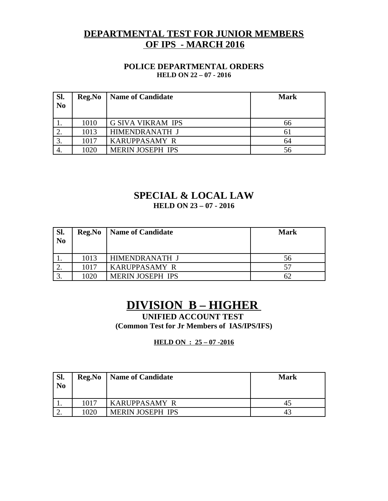### **DEPARTMENTAL TEST FOR JUNIOR MEMBERS OF IPS - MARCH 2016**

#### **POLICE DEPARTMENTAL ORDERS HELD ON 22 – 07 - 2016**

| Sl.<br>N <sub>0</sub> | Reg.No | <b>Name of Candidate</b> | <b>Mark</b> |
|-----------------------|--------|--------------------------|-------------|
|                       | 1010   | <b>G SIVA VIKRAM IPS</b> | 66          |
|                       | 1013   | HIMENDRANATH J           | 61          |
|                       | 1017   | <b>KARUPPASAMY R</b>     | 64          |
|                       | 1020   | <b>MERIN JOSEPH IPS</b>  | 56          |

# **SPECIAL & LOCAL LAW**

**HELD ON 23 – 07 - 2016**

| SI.<br>N <sub>0</sub> | Reg.No | Name of Candidate       | <b>Mark</b> |
|-----------------------|--------|-------------------------|-------------|
|                       | 1013   | HIMENDRANATH J          | 56          |
|                       | 1017   | <b>KARUPPASAMY R</b>    | 57          |
|                       | 1020   | <b>MERIN JOSEPH IPS</b> |             |

# **DIVISION B – HIGHER**

**UNIFIED ACCOUNT TEST (Common Test for Jr Members of IAS/IPS/IFS)**

#### **HELD ON : 25 – 07 -2016**

| SI.<br>N <sub>0</sub> | Reg.No | Name of Candidate       | Mark |
|-----------------------|--------|-------------------------|------|
| <b>. .</b>            | 1017   | <b>KARUPPASAMY R</b>    |      |
| <u>.</u>              | 1020   | <b>MERIN JOSEPH IPS</b> |      |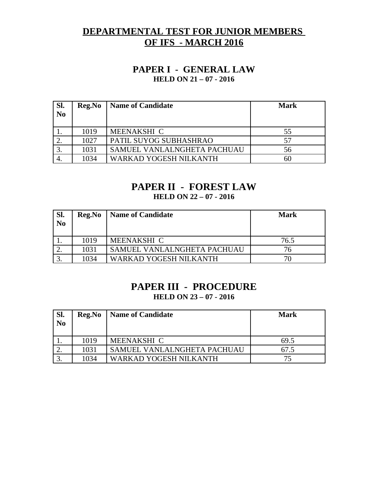### **DEPARTMENTAL TEST FOR JUNIOR MEMBERS OF IFS - MARCH 2016**

#### **PAPER I - GENERAL LAW HELD ON 21 – 07 - 2016**

| Sl.<br>N <sub>o</sub> | Reg.No | <b>Name of Candidate</b>    | <b>Mark</b> |
|-----------------------|--------|-----------------------------|-------------|
|                       | 1019   | MEENAKSHI C                 | 55          |
|                       | 1027   | PATIL SUYOG SUBHASHRAO      | 57          |
|                       | 1031   | SAMUEL VANLALNGHETA PACHUAU | 56          |
|                       | 1034   | WARKAD YOGESH NILKANTH      | 60          |

### **PAPER II - FOREST LAW**

**HELD ON 22 – 07 - 2016**

| Sl.<br>N <sub>0</sub> | Reg.No | Name of Candidate           | Mark |
|-----------------------|--------|-----------------------------|------|
|                       | 1019   | MEENAKSHI C                 | 76.5 |
|                       | 1031   | SAMUEL VANLALNGHETA PACHUAU | 76   |
|                       | 1034   | WARKAD YOGESH NILKANTH      | 70   |

## **PAPER III - PROCEDURE**

**HELD ON 23 – 07 - 2016**

| SI.<br>N <sub>0</sub> | Reg.No | <b>Name of Candidate</b>    | <b>Mark</b> |
|-----------------------|--------|-----------------------------|-------------|
|                       | 1019   | MEENAKSHI C                 | 69.5        |
|                       | 1031   | SAMUEL VANLALNGHETA PACHUAU | 67.5        |
|                       | 1034   | WARKAD YOGESH NILKANTH      | 75          |